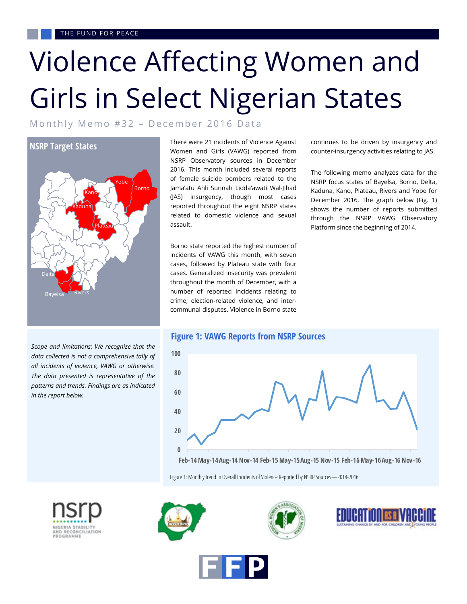# Violence Affecting Women and Girls in Select Nigerian States

Monthly Memo #32 - December 2016 Data



*Scope and limitations: We recognize that the data collected is not a comprehensive tally of all incidents of violence, VAWG or otherwise. The data presented is representative of the patterns and trends. Findings are as indicated in the report below.* 

There were 21 incidents of Violence Against Women and Girls (VAWG) reported from NSRP Observatory sources in December 2016. This month included several reports of female suicide bombers related to the Jama'atu Ahli Sunnah Lidda'awati Wal-Jihad (JAS) insurgency, though most cases reported throughout the eight NSRP states related to domestic violence and sexual assault.

Borno state reported the highest number of incidents of VAWG this month, with seven cases, followed by Plateau state with four cases. Generalized insecurity was prevalent throughout the month of December, with a number of reported incidents relating to crime, election-related violence, and intercommunal disputes. Violence in Borno state

continues to be driven by insurgency and counter-insurgency activities relating to JAS.

The following memo analyzes data for the NSRP focus states of Bayelsa, Borno, Delta, Kaduna, Kano, Plateau, Rivers and Yobe for December 2016. The graph below (Fig. 1) shows the number of reports submitted through the NSRP VAWG Observatory Platform since the beginning of 2014.



Figure 1: Monthly trend in Overall Incidents of Violence Reported by NSRP Sources—2014-2016









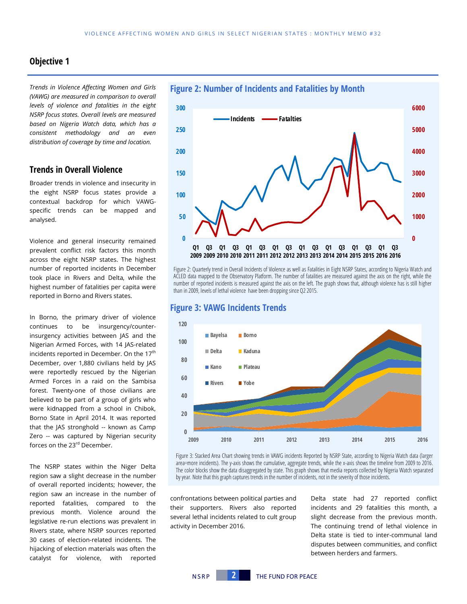## **Objective 1**

*Trends in Violence Affecting Women and Girls (VAWG) are measured in comparison to overall levels of violence and fatalities in the eight NSRP focus states. Overall levels are measured based on Nigeria Watch data, which has a consistent methodology and an even distribution of coverage by time and location.* 

## **Trends in Overall Violence**

Broader trends in violence and insecurity in the eight NSRP focus states provide a contextual backdrop for which VAWGspecific trends can be mapped and analysed.

Violence and general insecurity remained prevalent conflict risk factors this month across the eight NSRP states. The highest number of reported incidents in December took place in Rivers and Delta, while the highest number of fatalities per capita were reported in Borno and Rivers states.

In Borno, the primary driver of violence continues to be insurgency/counterinsurgency activities between JAS and the Nigerian Armed Forces, with 14 JAS-related incidents reported in December. On the 17<sup>th</sup> December, over 1,880 civilians held by JAS were reportedly rescued by the Nigerian Armed Forces in a raid on the Sambisa forest. Twenty-one of those civilians are believed to be part of a group of girls who were kidnapped from a school in Chibok, Borno State in April 2014. It was reported that the JAS stronghold -- known as Camp Zero -- was captured by Nigerian security forces on the 23<sup>rd</sup> December.

The NSRP states within the Niger Delta region saw a slight decrease in the number of overall reported incidents; however, the region saw an increase in the number of reported fatalities, compared to the previous month. Violence around the legislative re-run elections was prevalent in Rivers state, where NSRP sources reported 30 cases of election-related incidents. The hijacking of election materials was often the catalyst for violence, with reported



Figure 2: Quarterly trend in Overall Incidents of Violence as well as Fatalities in Eight NSRP States, according to Nigeria Watch and ACLED data mapped to the Observatory Platform. The number of fatalities are measured against the axis on the right, while the number of reported incidents is measured against the axis on the left. The graph shows that, although violence has is still higher than in 2009, levels of lethal violence have been dropping since Q2 2015.

### **Figure 3: VAWG Incidents Trends**



Figure 3: Stacked Area Chart showing trends in VAWG incidents Reported by NSRP State, according to Nigeria Watch data (larger area=more incidents). The y-axis shows the cumulative, aggregate trends, while the x-axis shows the timeline from 2009 to 2016. The color blocks show the data disaggregated by state. This graph shows that media reports collected by Nigeria Watch separated by year. Note that this graph captures trends in the number of incidents, not in the severity of those incidents.

confrontations between political parties and their supporters. Rivers also reported several lethal incidents related to cult group activity in December 2016.

Delta state had 27 reported conflict incidents and 29 fatalities this month, a slight decrease from the previous month. The continuing trend of lethal violence in Delta state is tied to inter-communal land disputes between communities, and conflict between herders and farmers.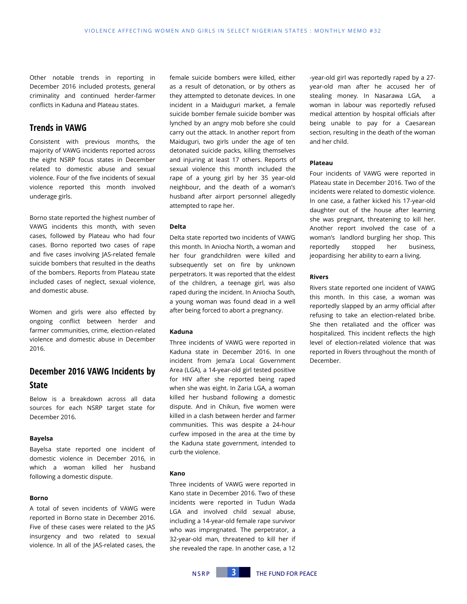Other notable trends in reporting in December 2016 included protests, general criminality and continued herder-farmer conflicts in Kaduna and Plateau states.

## **Trends in VAWG**

Consistent with previous months, the majority of VAWG incidents reported across the eight NSRP focus states in December related to domestic abuse and sexual violence. Four of the five incidents of sexual violence reported this month involved underage girls.

Borno state reported the highest number of VAWG incidents this month, with seven cases, followed by Plateau who had four cases. Borno reported two cases of rape and five cases involving JAS-related female suicide bombers that resulted in the deaths of the bombers. Reports from Plateau state included cases of neglect, sexual violence, and domestic abuse.

Women and girls were also effected by ongoing conflict between herder and farmer communities, crime, election-related violence and domestic abuse in December 2016.

## **December 2016 VAWG Incidents by State**

Below is a breakdown across all data sources for each NSRP target state for December 2016.

#### **Bayelsa**

Bayelsa state reported one incident of domestic violence in December 2016, in which a woman killed her husband following a domestic dispute.

#### **Borno**

A total of seven incidents of VAWG were reported in Borno state in December 2016. Five of these cases were related to the JAS insurgency and two related to sexual violence. In all of the JAS-related cases, the

female suicide bombers were killed, either as a result of detonation, or by others as they attempted to detonate devices. In one incident in a Maiduguri market, a female suicide bomber female suicide bomber was lynched by an angry mob before she could carry out the attack. In another report from Maiduguri, two girls under the age of ten detonated suicide packs, killing themselves and injuring at least 17 others. Reports of sexual violence this month included the rape of a young girl by her 35 year-old neighbour, and the death of a woman's husband after airport personnel allegedly attempted to rape her.

#### **Delta**

Delta state reported two incidents of VAWG this month. In Aniocha North, a woman and her four grandchildren were killed and subsequently set on fire by unknown perpetrators. It was reported that the eldest of the children, a teenage girl, was also raped during the incident. In Aniocha South, a young woman was found dead in a well after being forced to abort a pregnancy.

#### **Kaduna**

Three incidents of VAWG were reported in Kaduna state in December 2016. In one incident from Jema'a Local Government Area (LGA), a 14-year-old girl tested positive for HIV after she reported being raped when she was eight. In Zaria LGA, a woman killed her husband following a domestic dispute. And in Chikun, five women were killed in a clash between herder and farmer communities. This was despite a 24-hour curfew imposed in the area at the time by the Kaduna state government, intended to curb the violence.

#### **Kano**

Three incidents of VAWG were reported in Kano state in December 2016. Two of these incidents were reported in Tudun Wada LGA and involved child sexual abuse, including a 14-year-old female rape survivor who was impregnated. The perpetrator, a 32-year-old man, threatened to kill her if she revealed the rape. In another case, a 12 -year-old girl was reportedly raped by a 27 year-old man after he accused her of stealing money. In Nasarawa LGA, a woman in labour was reportedly refused medical attention by hospital officials after being unable to pay for a Caesarean section, resulting in the death of the woman and her child.

#### **Plateau**

Four incidents of VAWG were reported in Plateau state in December 2016. Two of the incidents were related to domestic violence. In one case, a father kicked his 17-year-old daughter out of the house after learning she was pregnant, threatening to kill her. Another report involved the case of a woman's landlord burgling her shop. This reportedly stopped her business, jeopardising her ability to earn a living.

#### **Rivers**

Rivers state reported one incident of VAWG this month. In this case, a woman was reportedly slapped by an army official after refusing to take an election-related bribe. She then retaliated and the officer was hospitalized. This incident reflects the high level of election-related violence that was reported in Rivers throughout the month of December.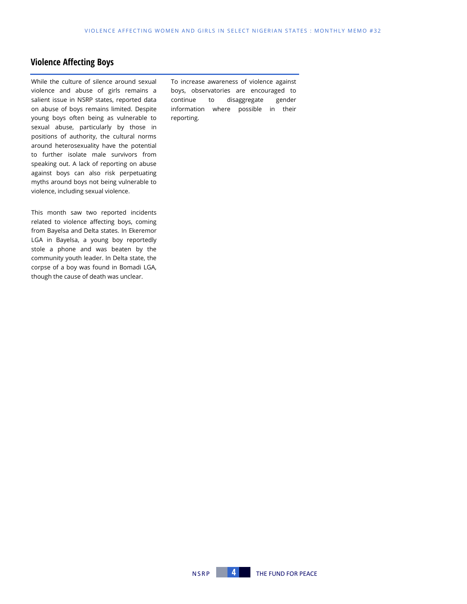## **Violence Affecting Boys**

While the culture of silence around sexual violence and abuse of girls remains a salient issue in NSRP states, reported data on abuse of boys remains limited. Despite young boys often being as vulnerable to sexual abuse, particularly by those in positions of authority, the cultural norms around heterosexuality have the potential to further isolate male survivors from speaking out. A lack of reporting on abuse against boys can also risk perpetuating myths around boys not being vulnerable to violence, including sexual violence.

This month saw two reported incidents related to violence affecting boys, coming from Bayelsa and Delta states. In Ekeremor LGA in Bayelsa, a young boy reportedly stole a phone and was beaten by the community youth leader. In Delta state, the corpse of a boy was found in Bomadi LGA, though the cause of death was unclear.

To increase awareness of violence against boys, observatories are encouraged to continue to disaggregate gender information where possible in their reporting.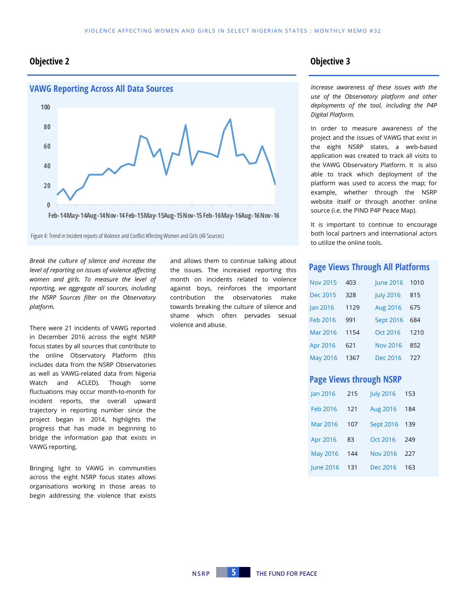## **Objective 2 Objective 3**



Figure 4: Trend in Incident reports of Violence and Conflict Affecting Women and Girls (All Sources)

*Break the culture of silence and increase the level of reporting on issues of violence affecting women and girls. To measure the level of reporting, we aggregate all sources, including the NSRP Sources filter on the Observatory platform.*

There were 21 incidents of VAWG reported in December 2016 across the eight NSRP focus states by all sources that contribute to the online Observatory Platform (this includes data from the NSRP Observatories as well as VAWG-related data from Nigeria Watch and ACLED). Though some fluctuations may occur month-to-month for incident reports, the overall upward trajectory in reporting number since the project began in 2014, highlights the progress that has made in beginning to bridge the information gap that exists in VAWG reporting.

Bringing light to VAWG in communities across the eight NSRP focus states allows organisations working in those areas to begin addressing the violence that exists

and allows them to continue talking about the issues. The increased reporting this month on incidents related to violence against boys, reinforces the important contribution the observatories make towards breaking the culture of silence and shame which often pervades sexual violence and abuse.

*Increase awareness of these issues with the use of the Observatory platform and other deployments of the tool, including the P4P Digital Platform.* 

In order to measure awareness of the project and the issues of VAWG that exist in the eight NSRP states, a web-based application was created to track all visits to the VAWG Observatory Platform. It is also able to track which deployment of the platform was used to access the map; for example, whether through the NSRP website itself or through another online source (i.e. the PIND P4P Peace Map).

It is important to continue to encourage both local partners and international actors to utilize the online tools.

#### **Page Views Through All Platforms**

| <b>Nov 2015</b> | 403  | <b>June 2016</b> | 1010 |
|-----------------|------|------------------|------|
| <b>Dec 2015</b> | 328  | <b>July 2016</b> | 815  |
| <b>Jan 2016</b> | 1129 | <b>Aug 2016</b>  | 675  |
| Feb 2016        | 991  | <b>Sept 2016</b> | 684  |
| Mar 2016        | 1154 | Oct 2016         | 1210 |
| Apr 2016        | 621  | <b>Nov 2016</b>  | 852  |
| <b>May 2016</b> | 1367 | Dec 2016         | 727  |

## **Page Views through NSRP**

| Jan 2016         | 215 | <b>July 2016</b> | 153 |
|------------------|-----|------------------|-----|
| Feb 2016         | 121 | <b>Aug 2016</b>  | 184 |
| Mar 2016         | 107 | <b>Sept 2016</b> | 139 |
| Apr 2016         | 83  | Oct 2016         | 249 |
| <b>May 2016</b>  | 144 | <b>Nov 2016</b>  | 227 |
| <b>lune 2016</b> | 131 | Dec 2016         | 163 |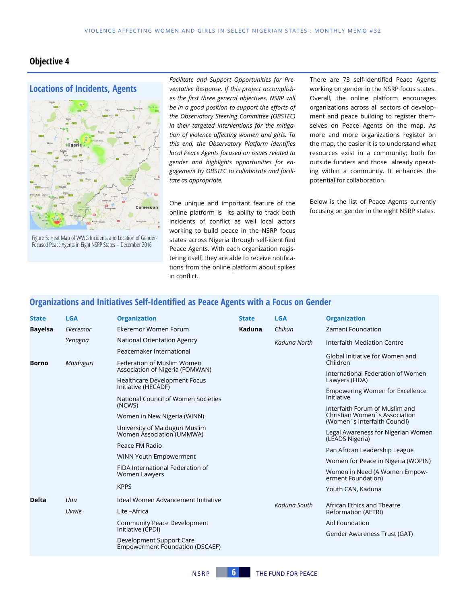## **Objective 4**



Figure 5: Heat Map of VAWG Incidents and Location of Gender-Focused Peace Agents in Eight NSRP States – December 2016

*Facilitate and Support Opportunities for Preventative Response. If this project accomplishes the first three general objectives, NSRP will be in a good position to support the efforts of the Observatory Steering Committee (OBSTEC) in their targeted interventions for the mitigation of violence affecting women and girls. To this end, the Observatory Platform identifies local Peace Agents focused on issues related to gender and highlights opportunities for engagement by OBSTEC to collaborate and facilitate as appropriate.* 

One unique and important feature of the online platform is its ability to track both incidents of conflict as well local actors working to build peace in the NSRP focus states across Nigeria through self-identified Peace Agents. With each organization registering itself, they are able to receive notifications from the online platform about spikes in conflict.

There are 73 self-identified Peace Agents working on gender in the NSRP focus states. Overall, the online platform encourages organizations across all sectors of development and peace building to register themselves on Peace Agents on the map. As more and more organizations register on the map, the easier it is to understand what resources exist in a community; both for outside funders and those already operating within a community. It enhances the potential for collaboration.

Below is the list of Peace Agents currently focusing on gender in the eight NSRP states.

## **Organizations and Initiatives Self-Identified as Peace Agents with a Focus on Gender**

| <b>State</b>   | <b>LGA</b> | <b>Organization</b>                                                | <b>State</b> | <b>LGA</b>   | <b>Organization</b>                                                                              |
|----------------|------------|--------------------------------------------------------------------|--------------|--------------|--------------------------------------------------------------------------------------------------|
| <b>Bayelsa</b> | Ekeremor   | Ekeremor Women Forum                                               | Kaduna       | Chikun       | Zamani Foundation                                                                                |
|                | Yenagoa    | National Orientation Agency                                        |              | Kaduna North | Interfaith Mediation Centre                                                                      |
|                |            | Peacemaker International                                           |              |              | Global Initiative for Women and                                                                  |
| <b>Borno</b>   | Maiduguri  | Federation of Muslim Women<br>Association of Nigeria (FOMWAN)      |              |              | Children                                                                                         |
|                |            | <b>Healthcare Development Focus</b>                                |              |              | International Federation of Women<br>Lawyers (FIDA)                                              |
|                |            | Initiative (HECADF)                                                |              |              | Empowering Women for Excellence<br>Initiative                                                    |
|                |            | National Council of Women Societies<br>(NCWS)                      |              |              |                                                                                                  |
|                |            | Women in New Nigeria (WINN)                                        |              |              | Interfaith Forum of Muslim and<br>Christian Women's Association<br>(Women `s Interfaith Council) |
|                |            | University of Maiduguri Muslim<br>Women Association (UMMWA)        |              |              | Legal Awareness for Nigerian Women<br>(LEADS Nigeria)                                            |
|                |            | Peace FM Radio                                                     |              |              | Pan African Leadership League                                                                    |
|                |            | WINN Youth Empowerment                                             |              |              | Women for Peace in Nigeria (WOPIN)                                                               |
|                |            | FIDA International Federation of<br>Women Lawyers                  |              |              | Women in Need (A Women Empow-<br>erment Foundation)                                              |
|                |            | <b>KPPS</b>                                                        |              |              | Youth CAN, Kaduna                                                                                |
| <b>Delta</b>   | Udu        | Ideal Women Advancement Initiative                                 |              |              | African Ethics and Theatre<br>Reformation (AETRI)                                                |
|                | Uvwie      | Lite -Africa                                                       |              | Kaduna South |                                                                                                  |
|                |            | <b>Community Peace Development</b>                                 |              |              | Aid Foundation                                                                                   |
|                |            | Initiative (CPDI)                                                  |              |              | Gender Awareness Trust (GAT)                                                                     |
|                |            | Development Support Care<br><b>Empowerment Foundation (DSCAEF)</b> |              |              |                                                                                                  |